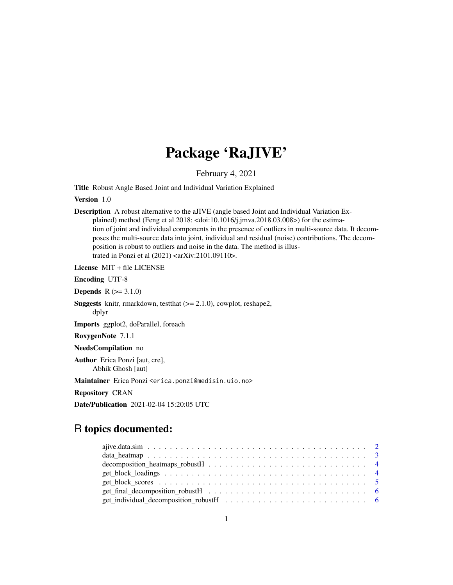# Package 'RaJIVE'

February 4, 2021

Title Robust Angle Based Joint and Individual Variation Explained

Version 1.0

Description A robust alternative to the aJIVE (angle based Joint and Individual Variation Explained) method (Feng et al 2018: <doi:10.1016/j.jmva.2018.03.008>) for the estimation of joint and individual components in the presence of outliers in multi-source data. It decomposes the multi-source data into joint, individual and residual (noise) contributions. The decomposition is robust to outliers and noise in the data. The method is illustrated in Ponzi et al (2021) <arXiv:2101.09110>.

License MIT + file LICENSE

Encoding UTF-8

**Depends**  $R (= 3.1.0)$ 

**Suggests** knitr, rmarkdown, test that  $(>= 2.1.0)$ , cowplot, reshape2, dplyr

Imports ggplot2, doParallel, foreach

RoxygenNote 7.1.1

NeedsCompilation no

Author Erica Ponzi [aut, cre], Abhik Ghosh [aut]

Maintainer Erica Ponzi <erica.ponzi@medisin.uio.no>

Repository CRAN

Date/Publication 2021-02-04 15:20:05 UTC

# R topics documented:

| get_individual_decomposition_robustH $\ldots \ldots \ldots \ldots \ldots \ldots \ldots \ldots \ldots \ldots \ldots \ldots$ |  |
|----------------------------------------------------------------------------------------------------------------------------|--|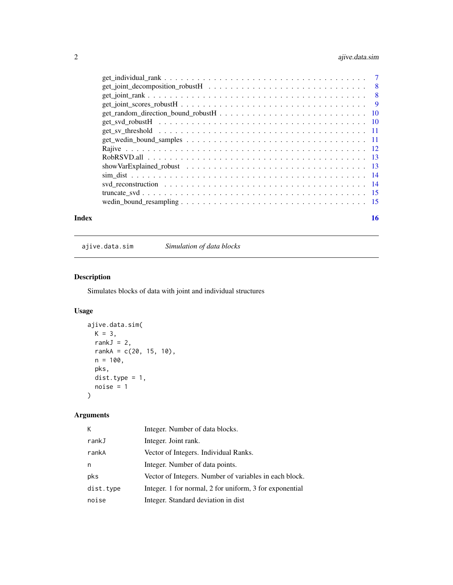# <span id="page-1-0"></span>2 ajive.data.sim

|       | $get\_joint\_scores\_robustH \dots \dots \dots \dots \dots \dots \dots \dots \dots \dots \dots \dots$                 |    |
|-------|-----------------------------------------------------------------------------------------------------------------------|----|
|       |                                                                                                                       |    |
|       |                                                                                                                       |    |
|       |                                                                                                                       |    |
|       |                                                                                                                       |    |
|       |                                                                                                                       |    |
|       |                                                                                                                       |    |
|       | show VarExplained_robust $\ldots \ldots \ldots \ldots \ldots \ldots \ldots \ldots \ldots \ldots \ldots \ldots \ldots$ |    |
|       |                                                                                                                       |    |
|       |                                                                                                                       |    |
|       |                                                                                                                       |    |
|       |                                                                                                                       |    |
| Index |                                                                                                                       | 16 |

ajive.data.sim *Simulation of data blocks*

# Description

Simulates blocks of data with joint and individual structures

# Usage

```
ajive.data.sim(
 K = 3,rankJ = 2,
 rankA = c(20, 15, 10),
 n = 100,pks,
 dist.type = 1,
 noise = 1
)
```

| K         | Integer. Number of data blocks.                         |
|-----------|---------------------------------------------------------|
| rankJ     | Integer. Joint rank.                                    |
| rankA     | Vector of Integers. Individual Ranks.                   |
| n         | Integer. Number of data points.                         |
| pks       | Vector of Integers. Number of variables in each block.  |
| dist.type | Integer. 1 for normal, 2 for uniform, 3 for exponential |
| noise     | Integer. Standard deviation in dist                     |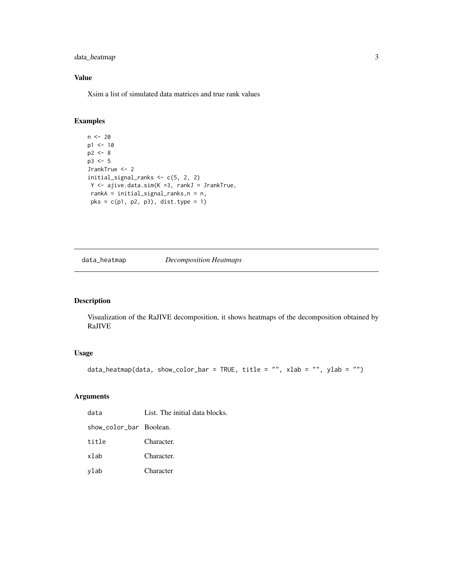# <span id="page-2-0"></span>data\_heatmap 3

# Value

Xsim a list of simulated data matrices and true rank values

# Examples

```
n < - 20p1 < -10p2 < - 8p3 <- 5
JrankTrue <- 2
initial_signal_ranks <- c(5, 2, 2)
Y <- ajive.data.sim(K =3, rankJ = JrankTrue,
rankA = initial_signal_ranks,n = n,
 pks = c(p1, p2, p3), dist.type = 1)
```
#### data\_heatmap *Decomposition Heatmaps*

# Description

Visualization of the RaJIVE decomposition, it shows heatmaps of the decomposition obtained by RaJIVE

# Usage

```
data_heatmap(data, show_color_bar = TRUE, title = "", xlab = "", ylab = "")
```

| data                    | List. The initial data blocks. |
|-------------------------|--------------------------------|
| show_color_bar Boolean. |                                |
| title                   | Character.                     |
| xlab                    | Character.                     |
| ylab                    | Character                      |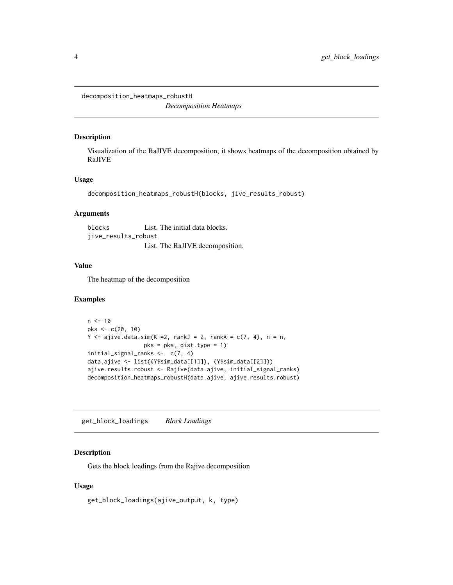<span id="page-3-0"></span>decomposition\_heatmaps\_robustH

*Decomposition Heatmaps*

#### Description

Visualization of the RaJIVE decomposition, it shows heatmaps of the decomposition obtained by RaJIVE

### Usage

```
decomposition_heatmaps_robustH(blocks, jive_results_robust)
```
#### Arguments

blocks List. The initial data blocks. jive\_results\_robust List. The RaJIVE decomposition.

#### Value

The heatmap of the decomposition

#### Examples

```
n < -10pks <- c(20, 10)
Y \leq -ajive.data.sim(K = 2, \text{ rankJ} = 2, \text{ rankA} = c(7, 4), n = n,pks = pks, dist.type = 1)
initial_signal_ranks <- c(7, 4)
data.ajive <- list((Y$sim_data[[1]]), (Y$sim_data[[2]]))
ajive.results.robust <- Rajive(data.ajive, initial_signal_ranks)
decomposition_heatmaps_robustH(data.ajive, ajive.results.robust)
```
get\_block\_loadings *Block Loadings*

#### Description

Gets the block loadings from the Rajive decomposition

#### Usage

```
get_block_loadings(ajive_output, k, type)
```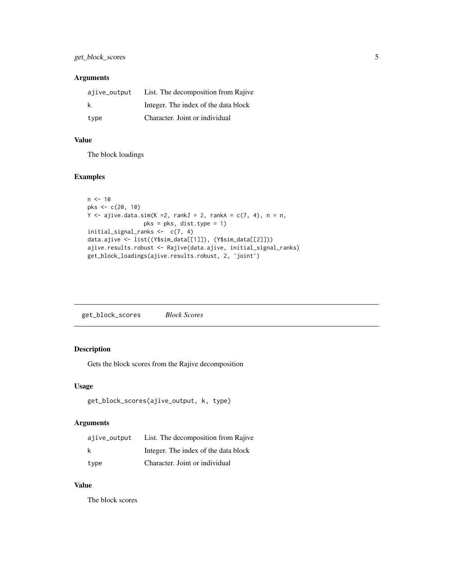# <span id="page-4-0"></span>Arguments

| ajive_output | List. The decomposition from Rajive  |
|--------------|--------------------------------------|
| k            | Integer. The index of the data block |
| type         | Character. Joint or individual       |

#### Value

The block loadings

#### Examples

```
n < -10pks <- c(20, 10)
Y \leq -ajive.data.sim(K =2, rankJ = 2, rankA = c(7, 4), n = n,
                 pks = pks, dist.type = 1)
initial_signal_ranks <- c(7, 4)
data.ajive <- list((Y$sim_data[[1]]), (Y$sim_data[[2]]))
ajive.results.robust <- Rajive(data.ajive, initial_signal_ranks)
get_block_loadings(ajive.results.robust, 2, 'joint')
```
get\_block\_scores *Block Scores*

# Description

Gets the block scores from the Rajive decomposition

#### Usage

```
get_block_scores(ajive_output, k, type)
```
#### Arguments

| ajive_output | List. The decomposition from Rajive  |
|--------------|--------------------------------------|
| k            | Integer. The index of the data block |
| type         | Character. Joint or individual       |

### Value

The block scores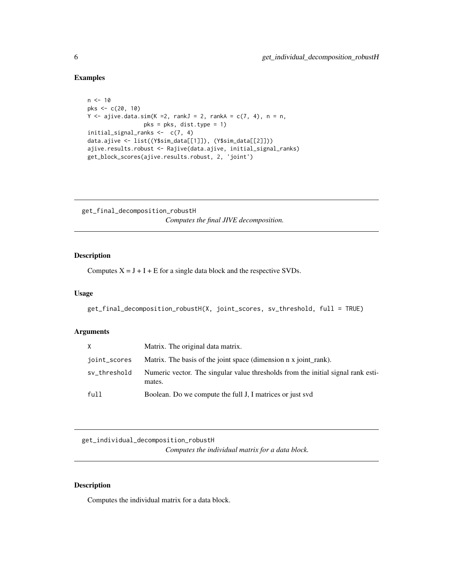# Examples

```
n < -10pks <- c(20, 10)
Y \leq a jive.data.sim(K =2, rankJ = 2, rankA = c(7, 4), n = n,
                 pks = pks, dist.type = 1)
initial_signal_ranks <- c(7, 4)
data.ajive <- list((Y$sim_data[[1]]), (Y$sim_data[[2]]))
ajive.results.robust <- Rajive(data.ajive, initial_signal_ranks)
get_block_scores(ajive.results.robust, 2, 'joint')
```
get\_final\_decomposition\_robustH *Computes the final JIVE decomposition.*

# Description

Computes  $X = J + I + E$  for a single data block and the respective SVDs.

### Usage

```
get_final_decomposition_robustH(X, joint_scores, sv_threshold, full = TRUE)
```
#### Arguments

| X.           | Matrix. The original data matrix.                                                          |
|--------------|--------------------------------------------------------------------------------------------|
| joint_scores | Matrix. The basis of the joint space (dimension n x joint rank).                           |
| sv_threshold | Numeric vector. The singular value thresholds from the initial signal rank esti-<br>mates. |
| full         | Boolean. Do we compute the full J, I matrices or just svd                                  |

get\_individual\_decomposition\_robustH *Computes the individual matrix for a data block.*

#### Description

Computes the individual matrix for a data block.

<span id="page-5-0"></span>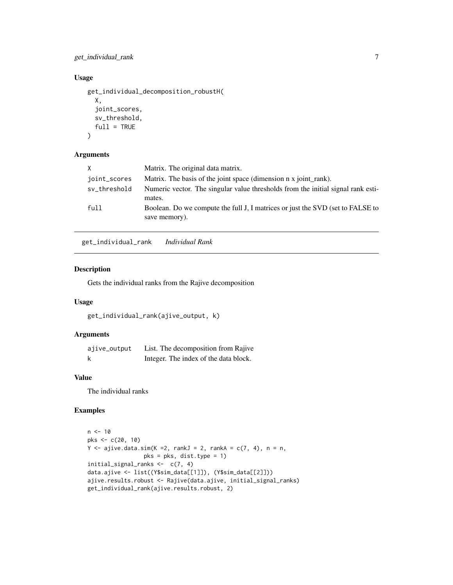<span id="page-6-0"></span>get\_individual\_rank 7

#### Usage

```
get_individual_decomposition_robustH(
 X,
 joint_scores,
 sv_threshold,
 full = TRUE)
```
# Arguments

| X.           | Matrix. The original data matrix.                                                               |
|--------------|-------------------------------------------------------------------------------------------------|
| joint_scores | Matrix. The basis of the joint space (dimension n x joint rank).                                |
| sv_threshold | Numeric vector. The singular value thresholds from the initial signal rank esti-<br>mates.      |
| full         | Boolean. Do we compute the full J, I matrices or just the SVD (set to FALSE to<br>save memory). |

get\_individual\_rank *Individual Rank*

#### Description

Gets the individual ranks from the Rajive decomposition

### Usage

get\_individual\_rank(ajive\_output, k)

# Arguments

| ajive_output | List. The decomposition from Rajive   |
|--------------|---------------------------------------|
| k            | Integer. The index of the data block. |

# Value

The individual ranks

# Examples

```
n < -10pks <- c(20, 10)
Y \leq a jive.data.sim(K = 2, rankJ = 2, rankA = c(7, 4), n = n,
                 pks = pks, dist.type = 1)
initial_signal_ranks <- c(7, 4)
data.ajive <- list((Y$sim_data[[1]]), (Y$sim_data[[2]]))
ajive.results.robust <- Rajive(data.ajive, initial_signal_ranks)
get_individual_rank(ajive.results.robust, 2)
```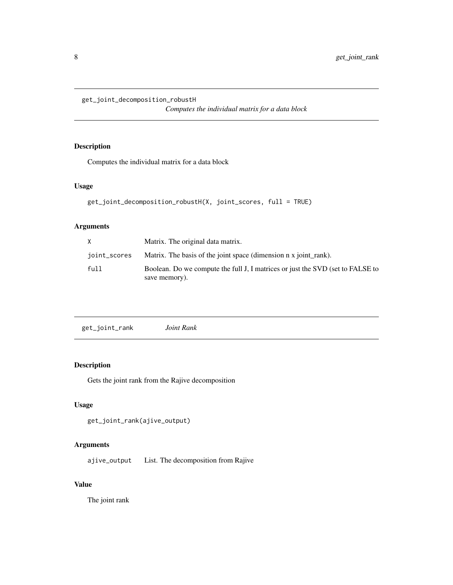<span id="page-7-0"></span>get\_joint\_decomposition\_robustH

*Computes the individual matrix for a data block*

# Description

Computes the individual matrix for a data block

# Usage

```
get_joint_decomposition_robustH(X, joint_scores, full = TRUE)
```
# Arguments

| X            | Matrix. The original data matrix.                                                               |
|--------------|-------------------------------------------------------------------------------------------------|
| ioint_scores | Matrix. The basis of the joint space (dimension n x joint rank).                                |
| full         | Boolean. Do we compute the full J, I matrices or just the SVD (set to FALSE to<br>save memory). |

| get_joint_rank<br>Joint Rank |
|------------------------------|
|------------------------------|

# Description

Gets the joint rank from the Rajive decomposition

# Usage

```
get_joint_rank(ajive_output)
```
# Arguments

ajive\_output List. The decomposition from Rajive

# Value

The joint rank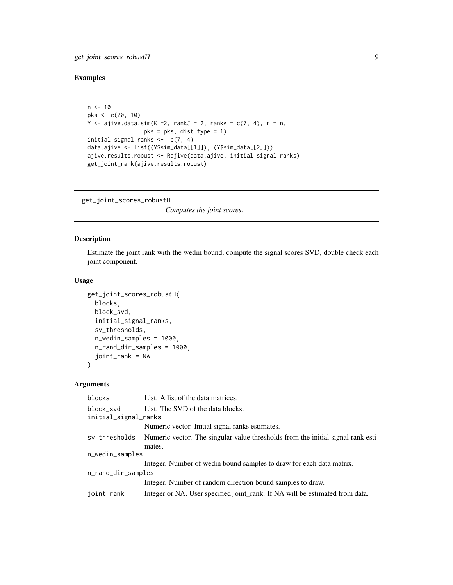# <span id="page-8-0"></span>Examples

```
n < -10pks <- c(20, 10)
Y \leq ajive.data.sim(K = 2, rankJ = 2, rankA = c(7, 4), n = n,
                 pks = pks, dist.type = 1)
initial_signal_ranks <- c(7, 4)
data.ajive <- list((Y$sim_data[[1]]), (Y$sim_data[[2]]))
ajive.results.robust <- Rajive(data.ajive, initial_signal_ranks)
get_joint_rank(ajive.results.robust)
```
get\_joint\_scores\_robustH

*Computes the joint scores.*

# Description

Estimate the joint rank with the wedin bound, compute the signal scores SVD, double check each joint component.

# Usage

```
get_joint_scores_robustH(
 blocks,
 block_svd,
  initial_signal_ranks,
  sv_thresholds,
  n_wedin_samples = 1000,
  n_rand_dir_samples = 1000,
  joint_rank = NA
)
```

| blocks                            | List. A list of the data matrices.                                                         |  |
|-----------------------------------|--------------------------------------------------------------------------------------------|--|
| block svd<br>initial_signal_ranks | List. The SVD of the data blocks.                                                          |  |
|                                   | Numeric vector. Initial signal ranks estimates.                                            |  |
| sv_thresholds                     | Numeric vector. The singular value thresholds from the initial signal rank esti-<br>mates. |  |
| n_wedin_samples                   |                                                                                            |  |
|                                   | Integer. Number of wedin bound samples to draw for each data matrix.                       |  |
| n_rand_dir_samples                |                                                                                            |  |
|                                   | Integer. Number of random direction bound samples to draw.                                 |  |
| joint_rank                        | Integer or NA. User specified joint_rank. If NA will be estimated from data.               |  |
|                                   |                                                                                            |  |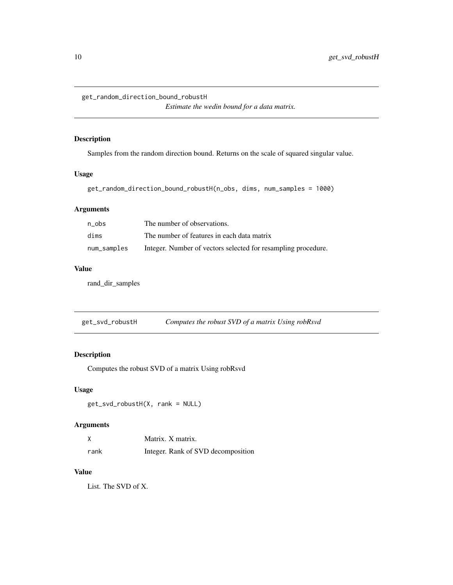<span id="page-9-0"></span>get\_random\_direction\_bound\_robustH

*Estimate the wedin bound for a data matrix.*

#### Description

Samples from the random direction bound. Returns on the scale of squared singular value.

# Usage

```
get_random_direction_bound_robustH(n_obs, dims, num_samples = 1000)
```
# Arguments

| n obs       | The number of observations.                                   |
|-------------|---------------------------------------------------------------|
| dims        | The number of features in each data matrix                    |
| num_samples | Integer. Number of vectors selected for resampling procedure. |

#### Value

rand\_dir\_samples

| get_svd_robustH | Computes the robust SVD of a matrix Using robRsvd |
|-----------------|---------------------------------------------------|
|                 |                                                   |

# Description

Computes the robust SVD of a matrix Using robRsvd

# Usage

get\_svd\_robustH(X, rank = NULL)

# Arguments

| X    | Matrix. X matrix.                  |
|------|------------------------------------|
| rank | Integer. Rank of SVD decomposition |

#### Value

List. The SVD of X.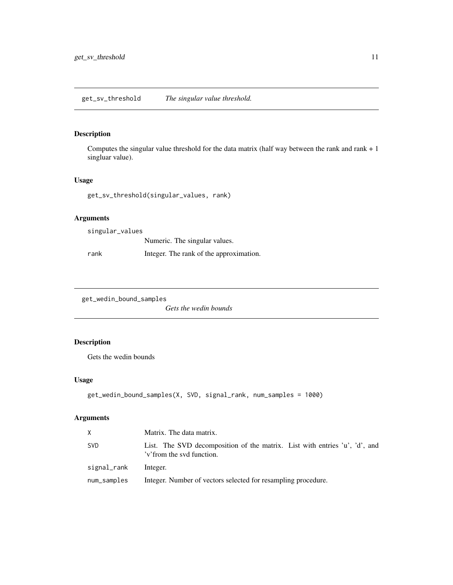<span id="page-10-0"></span>get\_sv\_threshold *The singular value threshold.*

# Description

Computes the singular value threshold for the data matrix (half way between the rank and rank + 1 singluar value).

#### Usage

get\_sv\_threshold(singular\_values, rank)

#### Arguments

singular\_values Numeric. The singular values. rank Integer. The rank of the approximation.

get\_wedin\_bound\_samples

*Gets the wedin bounds*

# Description

Gets the wedin bounds

#### Usage

```
get_wedin_bound_samples(X, SVD, signal_rank, num_samples = 1000)
```

| X           | Matrix. The data matrix.                                                                                |
|-------------|---------------------------------------------------------------------------------------------------------|
| <b>SVD</b>  | List. The SVD decomposition of the matrix. List with entries 'u', 'd', and<br>'v'from the svd function. |
| signal_rank | Integer.                                                                                                |
| num_samples | Integer. Number of vectors selected for resampling procedure.                                           |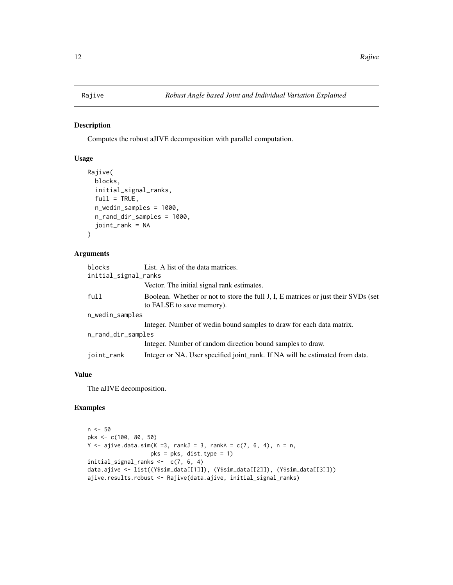<span id="page-11-0"></span>

#### Description

Computes the robust aJIVE decomposition with parallel computation.

# Usage

```
Rajive(
 blocks,
  initial_signal_ranks,
  full = TRUE,n_wedin_samples = 1000,
  n_rand_dir_samples = 1000,
  joint_rank = NA
)
```
#### Arguments

| blocks               | List. A list of the data matrices.                                                                              |
|----------------------|-----------------------------------------------------------------------------------------------------------------|
| initial_signal_ranks |                                                                                                                 |
|                      | Vector. The initial signal rank estimates.                                                                      |
| full                 | Boolean. Whether or not to store the full J, I, E matrices or just their SVDs (set<br>to FALSE to save memory). |
| n_wedin_samples      |                                                                                                                 |
|                      | Integer. Number of wedin bound samples to draw for each data matrix.                                            |
| n_rand_dir_samples   |                                                                                                                 |
|                      | Integer. Number of random direction bound samples to draw.                                                      |
| joint_rank           | Integer or NA. User specified joint_rank. If NA will be estimated from data.                                    |

#### Value

The aJIVE decomposition.

# Examples

```
n <- 50
pks <- c(100, 80, 50)
Y \le -a jive.data.sim(K =3, rankJ = 3, rankA = c(7, 6, 4), n = n,
                   pks = pks, dist.type = 1)
initial_signal_ranks <- c(7, 6, 4)
data.ajive <- list((Y$sim_data[[1]]), (Y$sim_data[[2]]), (Y$sim_data[[3]]))
ajive.results.robust <- Rajive(data.ajive, initial_signal_ranks)
```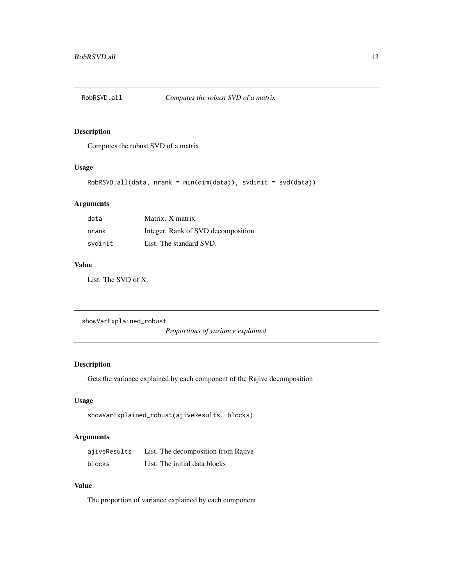<span id="page-12-0"></span>

#### Description

Computes the robust SVD of a matrix

# Usage

```
RobRSVD.all(data, nrank = min(dim(data)), svdinit = svd(data))
```
#### Arguments

| data    | Matrix. X matrix.                  |
|---------|------------------------------------|
| nrank   | Integer. Rank of SVD decomposition |
| svdinit | List. The standard SVD.            |

#### Value

List. The SVD of X.

showVarExplained\_robust

*Proportions of variance explained*

# Description

Gets the variance explained by each component of the Rajive decomposition

# Usage

```
showVarExplained_robust(ajiveResults, blocks)
```
# Arguments

| ajiveResults | List. The decomposition from Rajive |
|--------------|-------------------------------------|
| blocks       | List. The initial data blocks       |

### Value

The proportion of variance explained by each component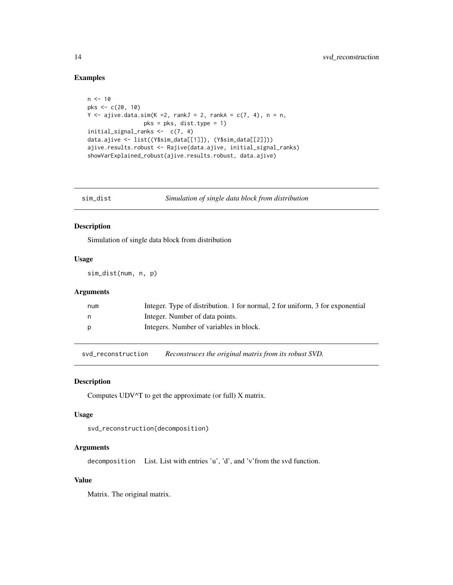# Examples

```
n < -10pks <- c(20, 10)
Y \leq a jive.data.sim(K = 2, rankJ = 2, rankA = c(7, 4), n = n,
                 pks = pks, dist.type = 1)
initial_signal_ranks <- c(7, 4)
data.ajive <- list((Y$sim_data[[1]]), (Y$sim_data[[2]]))
ajive.results.robust <- Rajive(data.ajive, initial_signal_ranks)
showVarExplained_robust(ajive.results.robust, data.ajive)
```

| im_dist | Simulation o |
|---------|--------------|
|         |              |

sim\_dist *Simulation of single data block from distribution*

#### Description

Simulation of single data block from distribution

#### Usage

sim\_dist(num, n, p)

# Arguments

| num | Integer. Type of distribution. 1 for normal, 2 for uniform, 3 for exponential |
|-----|-------------------------------------------------------------------------------|
| n   | Integer. Number of data points.                                               |
| D   | Integers. Number of variables in block.                                       |

svd\_reconstruction *Reconstruces the original matrix from its robust SVD.*

#### Description

Computes UDV^T to get the approximate (or full) X matrix.

#### Usage

```
svd_reconstruction(decomposition)
```
#### Arguments

decomposition List. List with entries 'u', 'd', and 'v'from the svd function.

# Value

Matrix. The original matrix.

<span id="page-13-0"></span>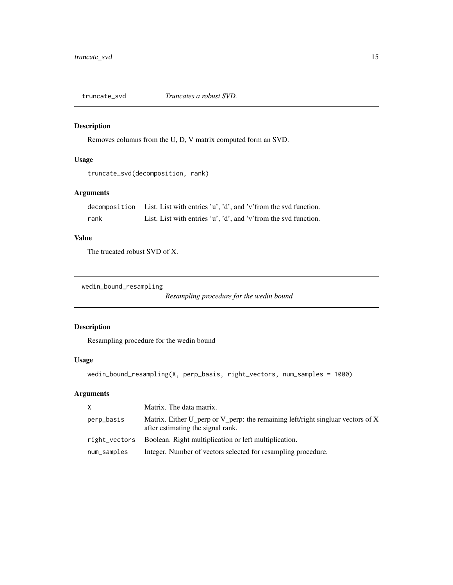<span id="page-14-0"></span>

#### Description

Removes columns from the U, D, V matrix computed form an SVD.

#### Usage

```
truncate_svd(decomposition, rank)
```
# Arguments

decomposition List. List with entries 'u', 'd', and 'v'from the svd function. rank List. List with entries 'u', 'd', and 'v'from the svd function.

#### Value

The trucated robust SVD of X.

wedin\_bound\_resampling

*Resampling procedure for the wedin bound*

#### Description

Resampling procedure for the wedin bound

#### Usage

```
wedin_bound_resampling(X, perp_basis, right_vectors, num_samples = 1000)
```

| X.          | Matrix. The data matrix.                                                                                             |
|-------------|----------------------------------------------------------------------------------------------------------------------|
| perp_basis  | Matrix. Either U_perp or V_perp: the remaining left/right singluar vectors of X<br>after estimating the signal rank. |
|             | right_vectors Boolean. Right multiplication or left multiplication.                                                  |
| num_samples | Integer. Number of vectors selected for resampling procedure.                                                        |